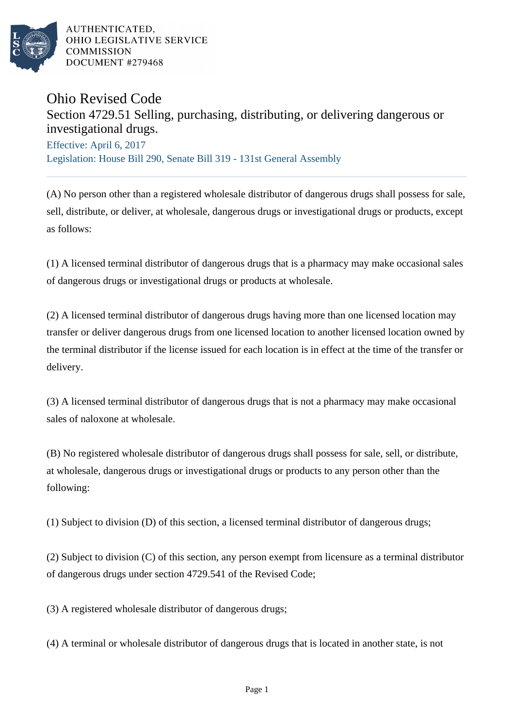

## Ohio Revised Code

## Section 4729.51 Selling, purchasing, distributing, or delivering dangerous or investigational drugs.

Effective: April 6, 2017 Legislation: House Bill 290, Senate Bill 319 - 131st General Assembly

(A) No person other than a registered wholesale distributor of dangerous drugs shall possess for sale, sell, distribute, or deliver, at wholesale, dangerous drugs or investigational drugs or products, except as follows:

(1) A licensed terminal distributor of dangerous drugs that is a pharmacy may make occasional sales of dangerous drugs or investigational drugs or products at wholesale.

(2) A licensed terminal distributor of dangerous drugs having more than one licensed location may transfer or deliver dangerous drugs from one licensed location to another licensed location owned by the terminal distributor if the license issued for each location is in effect at the time of the transfer or delivery.

(3) A licensed terminal distributor of dangerous drugs that is not a pharmacy may make occasional sales of naloxone at wholesale.

(B) No registered wholesale distributor of dangerous drugs shall possess for sale, sell, or distribute, at wholesale, dangerous drugs or investigational drugs or products to any person other than the following:

(1) Subject to division (D) of this section, a licensed terminal distributor of dangerous drugs;

(2) Subject to division (C) of this section, any person exempt from licensure as a terminal distributor of dangerous drugs under section 4729.541 of the Revised Code;

(3) A registered wholesale distributor of dangerous drugs;

(4) A terminal or wholesale distributor of dangerous drugs that is located in another state, is not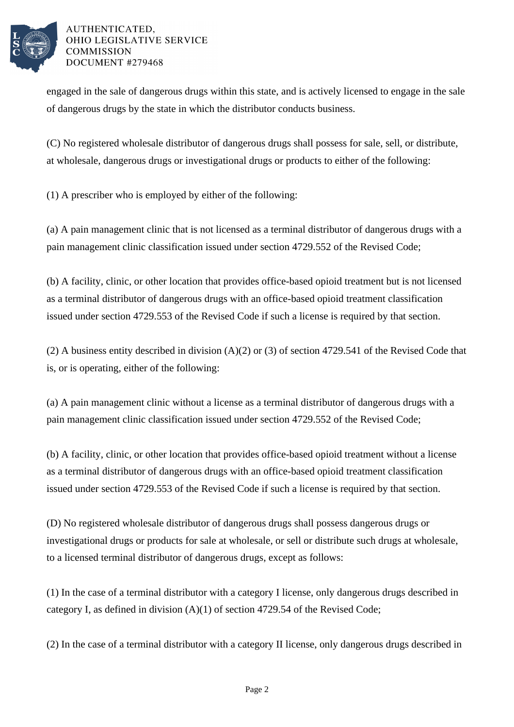

engaged in the sale of dangerous drugs within this state, and is actively licensed to engage in the sale of dangerous drugs by the state in which the distributor conducts business.

(C) No registered wholesale distributor of dangerous drugs shall possess for sale, sell, or distribute, at wholesale, dangerous drugs or investigational drugs or products to either of the following:

(1) A prescriber who is employed by either of the following:

(a) A pain management clinic that is not licensed as a terminal distributor of dangerous drugs with a pain management clinic classification issued under section 4729.552 of the Revised Code;

(b) A facility, clinic, or other location that provides office-based opioid treatment but is not licensed as a terminal distributor of dangerous drugs with an office-based opioid treatment classification issued under section 4729.553 of the Revised Code if such a license is required by that section.

(2) A business entity described in division (A)(2) or (3) of section 4729.541 of the Revised Code that is, or is operating, either of the following:

(a) A pain management clinic without a license as a terminal distributor of dangerous drugs with a pain management clinic classification issued under section 4729.552 of the Revised Code;

(b) A facility, clinic, or other location that provides office-based opioid treatment without a license as a terminal distributor of dangerous drugs with an office-based opioid treatment classification issued under section 4729.553 of the Revised Code if such a license is required by that section.

(D) No registered wholesale distributor of dangerous drugs shall possess dangerous drugs or investigational drugs or products for sale at wholesale, or sell or distribute such drugs at wholesale, to a licensed terminal distributor of dangerous drugs, except as follows:

(1) In the case of a terminal distributor with a category I license, only dangerous drugs described in category I, as defined in division (A)(1) of section 4729.54 of the Revised Code;

(2) In the case of a terminal distributor with a category II license, only dangerous drugs described in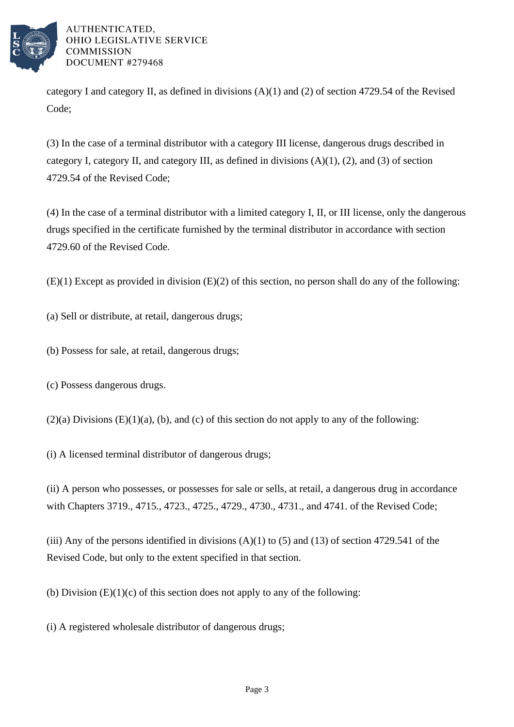

category I and category II, as defined in divisions  $(A)(1)$  and  $(2)$  of section 4729.54 of the Revised Code;

(3) In the case of a terminal distributor with a category III license, dangerous drugs described in category I, category II, and category III, as defined in divisions (A)(1), (2), and (3) of section 4729.54 of the Revised Code;

(4) In the case of a terminal distributor with a limited category I, II, or III license, only the dangerous drugs specified in the certificate furnished by the terminal distributor in accordance with section 4729.60 of the Revised Code.

(E)(1) Except as provided in division (E)(2) of this section, no person shall do any of the following:

(a) Sell or distribute, at retail, dangerous drugs;

(b) Possess for sale, at retail, dangerous drugs;

(c) Possess dangerous drugs.

 $(2)(a)$  Divisions  $(E)(1)(a)$ ,  $(b)$ , and  $(c)$  of this section do not apply to any of the following:

(i) A licensed terminal distributor of dangerous drugs;

(ii) A person who possesses, or possesses for sale or sells, at retail, a dangerous drug in accordance with Chapters 3719., 4715., 4723., 4725., 4729., 4730., 4731., and 4741. of the Revised Code;

(iii) Any of the persons identified in divisions  $(A)(1)$  to  $(5)$  and  $(13)$  of section 4729.541 of the Revised Code, but only to the extent specified in that section.

(b) Division  $(E)(1)(c)$  of this section does not apply to any of the following:

(i) A registered wholesale distributor of dangerous drugs;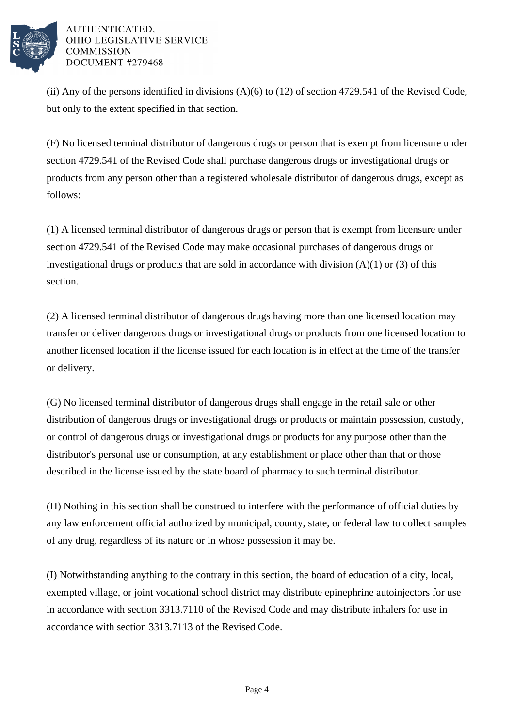

(ii) Any of the persons identified in divisions  $(A)(6)$  to (12) of section 4729.541 of the Revised Code, but only to the extent specified in that section.

(F) No licensed terminal distributor of dangerous drugs or person that is exempt from licensure under section 4729.541 of the Revised Code shall purchase dangerous drugs or investigational drugs or products from any person other than a registered wholesale distributor of dangerous drugs, except as follows:

(1) A licensed terminal distributor of dangerous drugs or person that is exempt from licensure under section 4729.541 of the Revised Code may make occasional purchases of dangerous drugs or investigational drugs or products that are sold in accordance with division  $(A)(1)$  or  $(3)$  of this section.

(2) A licensed terminal distributor of dangerous drugs having more than one licensed location may transfer or deliver dangerous drugs or investigational drugs or products from one licensed location to another licensed location if the license issued for each location is in effect at the time of the transfer or delivery.

(G) No licensed terminal distributor of dangerous drugs shall engage in the retail sale or other distribution of dangerous drugs or investigational drugs or products or maintain possession, custody, or control of dangerous drugs or investigational drugs or products for any purpose other than the distributor's personal use or consumption, at any establishment or place other than that or those described in the license issued by the state board of pharmacy to such terminal distributor.

(H) Nothing in this section shall be construed to interfere with the performance of official duties by any law enforcement official authorized by municipal, county, state, or federal law to collect samples of any drug, regardless of its nature or in whose possession it may be.

(I) Notwithstanding anything to the contrary in this section, the board of education of a city, local, exempted village, or joint vocational school district may distribute epinephrine autoinjectors for use in accordance with section 3313.7110 of the Revised Code and may distribute inhalers for use in accordance with section 3313.7113 of the Revised Code.